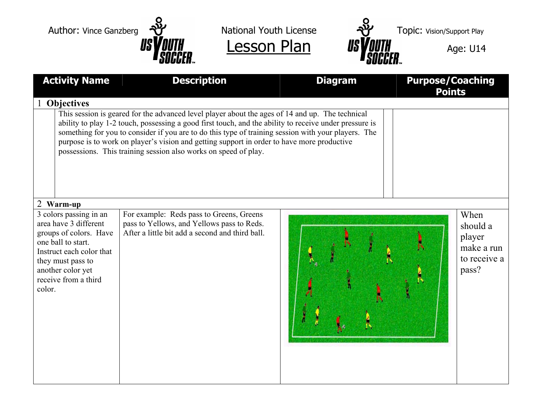



| <b>Activity Name</b>                                                                                                                                                                                    | <b>Description</b>                                                                                                                                                                                                                                                                                                                                                                                                                                                                | <b>Diagram</b> | <b>Purpose/Coaching</b><br><b>Points</b>                          |
|---------------------------------------------------------------------------------------------------------------------------------------------------------------------------------------------------------|-----------------------------------------------------------------------------------------------------------------------------------------------------------------------------------------------------------------------------------------------------------------------------------------------------------------------------------------------------------------------------------------------------------------------------------------------------------------------------------|----------------|-------------------------------------------------------------------|
| <b>Objectives</b>                                                                                                                                                                                       |                                                                                                                                                                                                                                                                                                                                                                                                                                                                                   |                |                                                                   |
|                                                                                                                                                                                                         | This session is geared for the advanced level player about the ages of 14 and up. The technical<br>ability to play 1-2 touch, possessing a good first touch, and the ability to receive under pressure is<br>something for you to consider if you are to do this type of training session with your players. The<br>purpose is to work on player's vision and getting support in order to have more productive<br>possessions. This training session also works on speed of play. |                |                                                                   |
| 2 Warm-up                                                                                                                                                                                               |                                                                                                                                                                                                                                                                                                                                                                                                                                                                                   |                |                                                                   |
| 3 colors passing in an<br>area have 3 different<br>groups of colors. Have<br>one ball to start.<br>Instruct each color that<br>they must pass to<br>another color yet<br>receive from a third<br>color. | For example: Reds pass to Greens, Greens<br>pass to Yellows, and Yellows pass to Reds.<br>After a little bit add a second and third ball.                                                                                                                                                                                                                                                                                                                                         |                | When<br>should a<br>player<br>make a run<br>to receive a<br>pass? |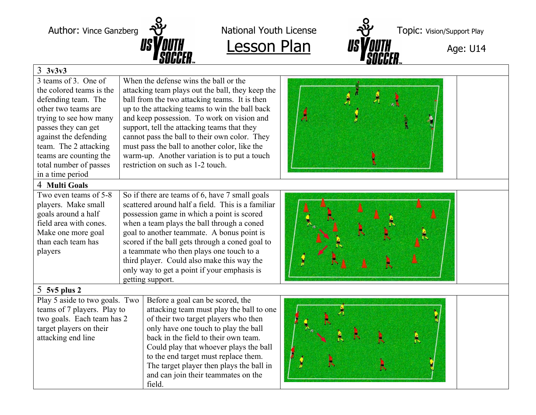

field.



## 3 **3v3v3**

| 3 teams of 3. One of<br>the colored teams is the<br>defending team. The<br>other two teams are<br>trying to see how many<br>passes they can get<br>against the defending<br>team. The 2 attacking<br>teams are counting the<br>total number of passes<br>in a time period | When the defense wins the ball or the<br>attacking team plays out the ball, they keep the<br>ball from the two attacking teams. It is then<br>up to the attacking teams to win the ball back<br>and keep possession. To work on vision and<br>support, tell the attacking teams that they<br>cannot pass the ball to their own color. They<br>must pass the ball to another color, like the<br>warm-up. Another variation is to put a touch<br>restriction on such as 1-2 touch. | Л |
|---------------------------------------------------------------------------------------------------------------------------------------------------------------------------------------------------------------------------------------------------------------------------|----------------------------------------------------------------------------------------------------------------------------------------------------------------------------------------------------------------------------------------------------------------------------------------------------------------------------------------------------------------------------------------------------------------------------------------------------------------------------------|---|
| 4 Multi Goals                                                                                                                                                                                                                                                             |                                                                                                                                                                                                                                                                                                                                                                                                                                                                                  |   |
| Two even teams of 5-8<br>players. Make small<br>goals around a half<br>field area with cones.<br>Make one more goal<br>than each team has<br>players                                                                                                                      | So if there are teams of 6, have 7 small goals<br>scattered around half a field. This is a familiar<br>possession game in which a point is scored<br>when a team plays the ball through a coned<br>goal to another teammate. A bonus point is<br>scored if the ball gets through a coned goal to<br>a teammate who then plays one touch to a<br>third player. Could also make this way the<br>only way to get a point if your emphasis is<br>getting support.                    |   |
| $5$ 5 $v5$ plus 2                                                                                                                                                                                                                                                         |                                                                                                                                                                                                                                                                                                                                                                                                                                                                                  |   |
| Play 5 aside to two goals. Two<br>teams of 7 players. Play to<br>two goals. Each team has 2<br>target players on their<br>attacking end line                                                                                                                              | Before a goal can be scored, the<br>attacking team must play the ball to one<br>of their two target players who then<br>only have one touch to play the ball<br>back in the field to their own team.<br>Could play that whoever plays the ball<br>to the end target must replace them.<br>The target player then plays the ball in<br>and can join their teammates on the                                                                                                        |   |